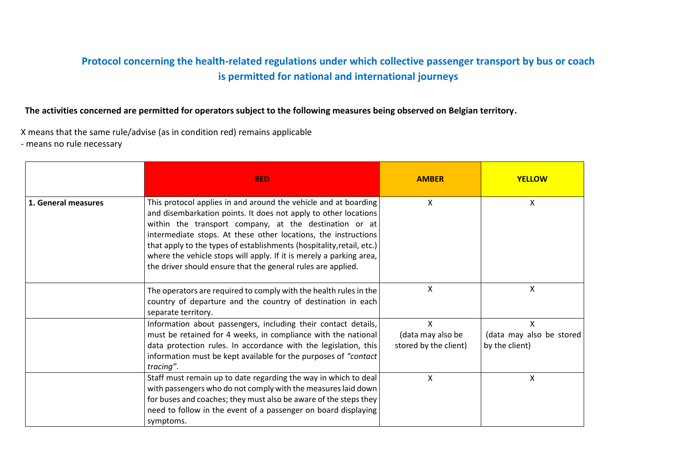## **Protocol concerning the health-related regulations under which collective passenger transport by bus or coach is permitted for national and international journeys**

**The activities concerned are permitted for operators subject to the following measures being observed on Belgian territory.**

X means that the same rule/advise (as in condition red) remains applicable - means no rule necessary

|                     | <b>RED</b>                                                                                                                                                                                                                                                                                                                                                                                                                                                                     | <b>AMBER</b>                                    | <b>YELLOW</b>                                   |
|---------------------|--------------------------------------------------------------------------------------------------------------------------------------------------------------------------------------------------------------------------------------------------------------------------------------------------------------------------------------------------------------------------------------------------------------------------------------------------------------------------------|-------------------------------------------------|-------------------------------------------------|
| 1. General measures | This protocol applies in and around the vehicle and at boarding<br>and disembarkation points. It does not apply to other locations<br>within the transport company, at the destination or at<br>intermediate stops. At these other locations, the instructions<br>that apply to the types of establishments (hospitality, retail, etc.)<br>where the vehicle stops will apply. If it is merely a parking area,<br>the driver should ensure that the general rules are applied. | X                                               | X                                               |
|                     | The operators are required to comply with the health rules in the<br>country of departure and the country of destination in each<br>separate territory.                                                                                                                                                                                                                                                                                                                        | X                                               | X                                               |
|                     | Information about passengers, including their contact details,<br>must be retained for 4 weeks, in compliance with the national<br>data protection rules. In accordance with the legislation, this<br>information must be kept available for the purposes of "contact"<br>tracing".                                                                                                                                                                                            | X<br>(data may also be<br>stored by the client) | X<br>(data may also be stored<br>by the client) |
|                     | Staff must remain up to date regarding the way in which to deal<br>with passengers who do not comply with the measures laid down<br>for buses and coaches; they must also be aware of the steps they<br>need to follow in the event of a passenger on board displaying<br>symptoms.                                                                                                                                                                                            | X                                               | X                                               |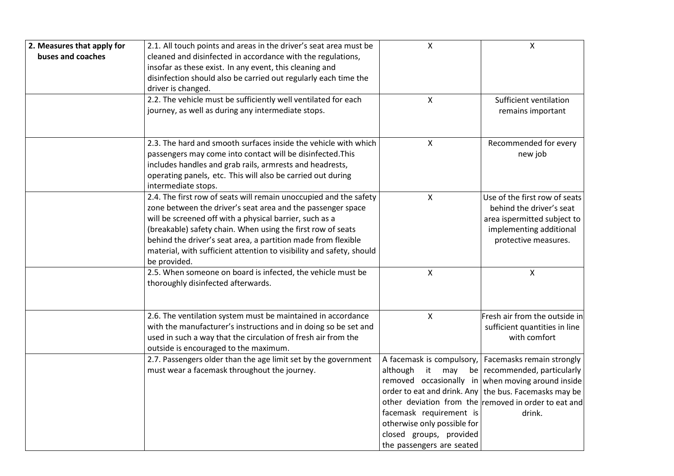| 2. Measures that apply for | 2.1. All touch points and areas in the driver's seat area must be           | $\pmb{\mathsf{X}}$          | $\mathsf{X}$                                            |
|----------------------------|-----------------------------------------------------------------------------|-----------------------------|---------------------------------------------------------|
| buses and coaches          | cleaned and disinfected in accordance with the regulations,                 |                             |                                                         |
|                            | insofar as these exist. In any event, this cleaning and                     |                             |                                                         |
|                            | disinfection should also be carried out regularly each time the             |                             |                                                         |
|                            | driver is changed.                                                          |                             |                                                         |
|                            | 2.2. The vehicle must be sufficiently well ventilated for each              | X                           | Sufficient ventilation                                  |
|                            | journey, as well as during any intermediate stops.                          |                             | remains important                                       |
|                            | 2.3. The hard and smooth surfaces inside the vehicle with which             | $\mathsf X$                 | Recommended for every                                   |
|                            | passengers may come into contact will be disinfected. This                  |                             | new job                                                 |
|                            | includes handles and grab rails, armrests and headrests,                    |                             |                                                         |
|                            | operating panels, etc. This will also be carried out during                 |                             |                                                         |
|                            | intermediate stops.                                                         |                             |                                                         |
|                            | 2.4. The first row of seats will remain unoccupied and the safety           | X                           | Use of the first row of seats                           |
|                            | zone between the driver's seat area and the passenger space                 |                             | behind the driver's seat                                |
|                            | will be screened off with a physical barrier, such as a                     |                             | area ispermitted subject to                             |
|                            | (breakable) safety chain. When using the first row of seats                 |                             | implementing additional                                 |
|                            | behind the driver's seat area, a partition made from flexible               |                             | protective measures.                                    |
|                            | material, with sufficient attention to visibility and safety, should        |                             |                                                         |
|                            | be provided.<br>2.5. When someone on board is infected, the vehicle must be | $\boldsymbol{\mathsf{X}}$   | $\mathsf{X}$                                            |
|                            | thoroughly disinfected afterwards.                                          |                             |                                                         |
|                            |                                                                             |                             |                                                         |
|                            | 2.6. The ventilation system must be maintained in accordance                | X                           | Fresh air from the outside in                           |
|                            | with the manufacturer's instructions and in doing so be set and             |                             | sufficient quantities in line                           |
|                            | used in such a way that the circulation of fresh air from the               |                             | with comfort                                            |
|                            | outside is encouraged to the maximum.                                       |                             |                                                         |
|                            | 2.7. Passengers older than the age limit set by the government              |                             | A facemask is compulsory,   Facemasks remain strongly   |
|                            | must wear a facemask throughout the journey.                                | although<br>it<br>may       | be recommended, particularly                            |
|                            |                                                                             |                             | removed occasionally in when moving around inside       |
|                            |                                                                             |                             | order to eat and drink. Any   the bus. Facemasks may be |
|                            |                                                                             |                             | other deviation from the removed in order to eat and    |
|                            |                                                                             | facemask requirement is     | drink.                                                  |
|                            |                                                                             | otherwise only possible for |                                                         |
|                            |                                                                             | closed groups, provided     |                                                         |
|                            |                                                                             | the passengers are seated   |                                                         |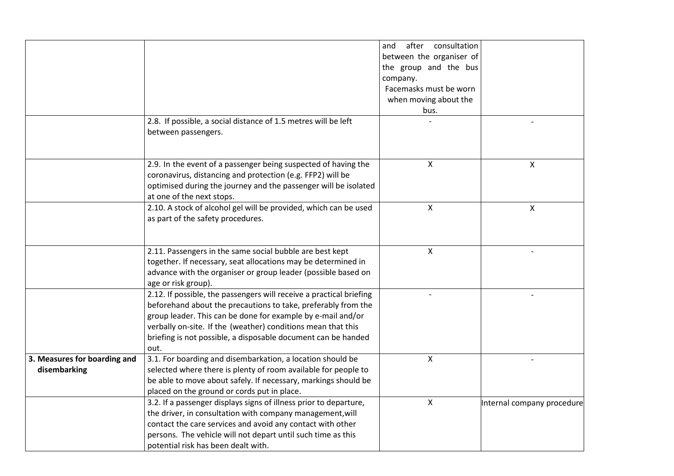|                              |                                                                     | after<br>consultation<br>and |                            |
|------------------------------|---------------------------------------------------------------------|------------------------------|----------------------------|
|                              |                                                                     | between the organiser of     |                            |
|                              |                                                                     | the group and the bus        |                            |
|                              |                                                                     | company.                     |                            |
|                              |                                                                     | Facemasks must be worn       |                            |
|                              |                                                                     | when moving about the        |                            |
|                              |                                                                     | bus.                         |                            |
|                              | 2.8. If possible, a social distance of 1.5 metres will be left      |                              |                            |
|                              | between passengers.                                                 |                              |                            |
|                              |                                                                     |                              |                            |
|                              |                                                                     |                              |                            |
|                              | 2.9. In the event of a passenger being suspected of having the      | Χ                            | X                          |
|                              | coronavirus, distancing and protection (e.g. FFP2) will be          |                              |                            |
|                              | optimised during the journey and the passenger will be isolated     |                              |                            |
|                              | at one of the next stops.                                           |                              |                            |
|                              | 2.10. A stock of alcohol gel will be provided, which can be used    | X                            | X                          |
|                              | as part of the safety procedures.                                   |                              |                            |
|                              |                                                                     |                              |                            |
|                              |                                                                     |                              |                            |
|                              | 2.11. Passengers in the same social bubble are best kept            | Χ                            |                            |
|                              | together. If necessary, seat allocations may be determined in       |                              |                            |
|                              | advance with the organiser or group leader (possible based on       |                              |                            |
|                              | age or risk group).                                                 |                              |                            |
|                              | 2.12. If possible, the passengers will receive a practical briefing |                              |                            |
|                              | beforehand about the precautions to take, preferably from the       |                              |                            |
|                              | group leader. This can be done for example by e-mail and/or         |                              |                            |
|                              | verbally on-site. If the (weather) conditions mean that this        |                              |                            |
|                              | briefing is not possible, a disposable document can be handed       |                              |                            |
|                              | out.                                                                |                              |                            |
| 3. Measures for boarding and | 3.1. For boarding and disembarkation, a location should be          | X                            |                            |
| disembarking                 | selected where there is plenty of room available for people to      |                              |                            |
|                              | be able to move about safely. If necessary, markings should be      |                              |                            |
|                              | placed on the ground or cords put in place.                         |                              |                            |
|                              | 3.2. If a passenger displays signs of illness prior to departure,   | X                            | Internal company procedure |
|                              | the driver, in consultation with company management, will           |                              |                            |
|                              | contact the care services and avoid any contact with other          |                              |                            |
|                              | persons. The vehicle will not depart until such time as this        |                              |                            |
|                              | potential risk has been dealt with.                                 |                              |                            |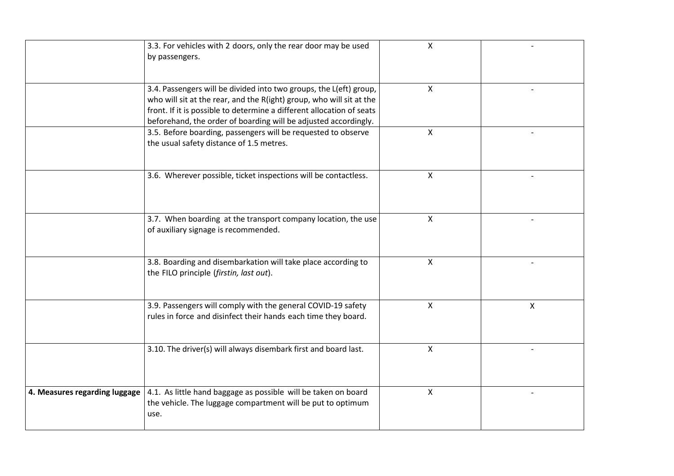|                               | 3.3. For vehicles with 2 doors, only the rear door may be used<br>by passengers.                                                                                                                                                                                                       | $\mathsf{x}$              |   |
|-------------------------------|----------------------------------------------------------------------------------------------------------------------------------------------------------------------------------------------------------------------------------------------------------------------------------------|---------------------------|---|
|                               | 3.4. Passengers will be divided into two groups, the L(eft) group,<br>who will sit at the rear, and the R(ight) group, who will sit at the<br>front. If it is possible to determine a different allocation of seats<br>beforehand, the order of boarding will be adjusted accordingly. | X                         |   |
|                               | 3.5. Before boarding, passengers will be requested to observe<br>the usual safety distance of 1.5 metres.                                                                                                                                                                              | $\pmb{\mathsf{X}}$        |   |
|                               | 3.6. Wherever possible, ticket inspections will be contactless.                                                                                                                                                                                                                        | X                         |   |
|                               | 3.7. When boarding at the transport company location, the use<br>of auxiliary signage is recommended.                                                                                                                                                                                  | X                         |   |
|                               | 3.8. Boarding and disembarkation will take place according to<br>the FILO principle (firstin, last out).                                                                                                                                                                               | X                         |   |
|                               | 3.9. Passengers will comply with the general COVID-19 safety<br>rules in force and disinfect their hands each time they board.                                                                                                                                                         | $\boldsymbol{\mathsf{X}}$ | X |
|                               | 3.10. The driver(s) will always disembark first and board last.                                                                                                                                                                                                                        | X                         |   |
| 4. Measures regarding luggage | 4.1. As little hand baggage as possible will be taken on board<br>the vehicle. The luggage compartment will be put to optimum<br>use.                                                                                                                                                  | X                         |   |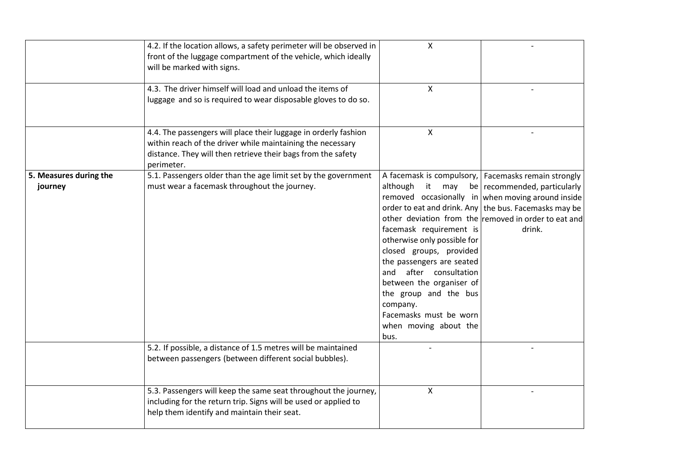|                                   | 4.2. If the location allows, a safety perimeter will be observed in<br>front of the luggage compartment of the vehicle, which ideally<br>will be marked with signs.<br>4.3. The driver himself will load and unload the items of<br>luggage and so is required to wear disposable gloves to do so. | $\boldsymbol{\mathsf{X}}$<br>$\mathsf{X}$                                                                                                                                                                                                                                                     |                                                                                                                                                                                                                                                                         |
|-----------------------------------|----------------------------------------------------------------------------------------------------------------------------------------------------------------------------------------------------------------------------------------------------------------------------------------------------|-----------------------------------------------------------------------------------------------------------------------------------------------------------------------------------------------------------------------------------------------------------------------------------------------|-------------------------------------------------------------------------------------------------------------------------------------------------------------------------------------------------------------------------------------------------------------------------|
|                                   | 4.4. The passengers will place their luggage in orderly fashion<br>within reach of the driver while maintaining the necessary<br>distance. They will then retrieve their bags from the safety<br>perimeter.                                                                                        | X                                                                                                                                                                                                                                                                                             |                                                                                                                                                                                                                                                                         |
| 5. Measures during the<br>journey | 5.1. Passengers older than the age limit set by the government<br>must wear a facemask throughout the journey.                                                                                                                                                                                     | although<br>it<br>may<br>facemask requirement is<br>otherwise only possible for<br>closed groups, provided<br>the passengers are seated<br>and after consultation<br>between the organiser of<br>the group and the bus<br>company.<br>Facemasks must be worn<br>when moving about the<br>bus. | A facemask is compulsory,   Facemasks remain strongly<br>be recommended, particularly<br>removed occasionally in when moving around inside<br>order to eat and drink. Any   the bus. Facemasks may be<br>other deviation from the removed in order to eat and<br>drink. |
|                                   | 5.2. If possible, a distance of 1.5 metres will be maintained<br>between passengers (between different social bubbles).                                                                                                                                                                            |                                                                                                                                                                                                                                                                                               |                                                                                                                                                                                                                                                                         |
|                                   | 5.3. Passengers will keep the same seat throughout the journey,<br>including for the return trip. Signs will be used or applied to<br>help them identify and maintain their seat.                                                                                                                  | $\pmb{\times}$                                                                                                                                                                                                                                                                                |                                                                                                                                                                                                                                                                         |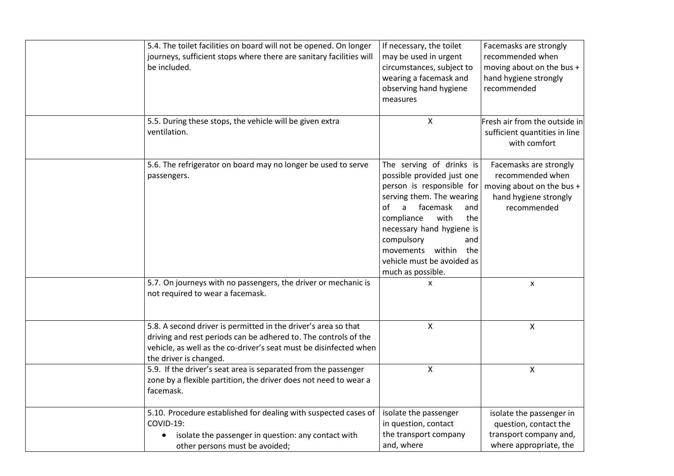| 5.4. The toilet facilities on board will not be opened. On longer   | If necessary, the toilet              | Facemasks are strongly        |
|---------------------------------------------------------------------|---------------------------------------|-------------------------------|
| journeys, sufficient stops where there are sanitary facilities will | may be used in urgent                 | recommended when              |
| be included.                                                        | circumstances, subject to             | moving about on the bus +     |
|                                                                     | wearing a facemask and                | hand hygiene strongly         |
|                                                                     | observing hand hygiene                | recommended                   |
|                                                                     | measures                              |                               |
|                                                                     |                                       |                               |
| 5.5. During these stops, the vehicle will be given extra            | $\mathsf{X}$                          | Fresh air from the outside in |
| ventilation.                                                        |                                       | sufficient quantities in line |
|                                                                     |                                       | with comfort                  |
|                                                                     |                                       |                               |
| 5.6. The refrigerator on board may no longer be used to serve       | The serving of drinks is              | Facemasks are strongly        |
| passengers.                                                         | possible provided just one            | recommended when              |
|                                                                     | person is responsible for             | moving about on the bus +     |
|                                                                     | serving them. The wearing             | hand hygiene strongly         |
|                                                                     | facemask<br>οf<br>$\mathsf{a}$<br>and | recommended                   |
|                                                                     | compliance<br>with<br>the             |                               |
|                                                                     | necessary hand hygiene is             |                               |
|                                                                     | compulsory<br>and                     |                               |
|                                                                     | movements within<br>the               |                               |
|                                                                     | vehicle must be avoided as            |                               |
|                                                                     | much as possible.                     |                               |
| 5.7. On journeys with no passengers, the driver or mechanic is      | X                                     | X                             |
| not required to wear a facemask.                                    |                                       |                               |
|                                                                     |                                       |                               |
|                                                                     |                                       |                               |
| 5.8. A second driver is permitted in the driver's area so that      | X                                     | X                             |
| driving and rest periods can be adhered to. The controls of the     |                                       |                               |
| vehicle, as well as the co-driver's seat must be disinfected when   |                                       |                               |
| the driver is changed.                                              |                                       |                               |
| 5.9. If the driver's seat area is separated from the passenger      | X                                     | X                             |
| zone by a flexible partition, the driver does not need to wear a    |                                       |                               |
| facemask.                                                           |                                       |                               |
| 5.10. Procedure established for dealing with suspected cases of     | isolate the passenger                 | isolate the passenger in      |
| COVID-19:                                                           | in question, contact                  | question, contact the         |
| isolate the passenger in question: any contact with                 | the transport company                 | transport company and,        |
| other persons must be avoided;                                      | and, where                            | where appropriate, the        |